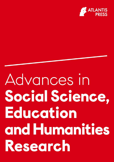

# Advances in Social Science, Education and Humanities Research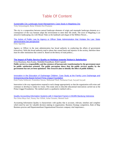## Table Of Content

#### [Sustainable City Landscape Asset Management: Case Study in Magelang City](https://www.atlantis-press.com/proceedings/icas-19/125916441) Yetty Setiyaningsih, Retno Widodo Dwi Pramono

The city is a composition between natural landscape elements of origin and manmade landscape elements as a consequence of the way humans adapt the environment to meet their life needs. The town of Magelang is an attractive landscaping city with Mount Tidar as the landmark and slogan of the Million Flower...

[The Action of Public Law by Agency or Officer State Administration that Violates the Law: State](https://www.atlantis-press.com/proceedings/icas-19/125916443)  [administrative law perspective](https://www.atlantis-press.com/proceedings/icas-19/125916443) Enny Agustina

Agency or Officer in the state administration has broad authority in conducting the affairs of government (executive). With this broad authority tend to abuse that caused harm and injustice in the society, therefore there must be other institutions that control it. Based on the theory of triad politics...

#### **[The Impact of Public Service Quality on Holidays towards Visitors's Satisfaction](https://www.atlantis-press.com/proceedings/icas-19/125916451)**

**Erna Ruatiana, Ikeu Kania, Abdullah Ramdhani, Hedi Cupiadi**

**Public service is a responsibility and the existence of bureaucratic transformation by the government must be public satisfaction oriented. The public perception shows that the public services quality by the government has not yet been optimized. This research aims to identify the effect of public holiday...**

[Innovation in the Education of Orphanage Children: Case Study at the Family Love Orphanage and](https://www.atlantis-press.com/proceedings/icas-19/125916452)  [Entrepreneurship Based School Prima Unggul Foundation](https://www.atlantis-press.com/proceedings/icas-19/125916452)

Esmi Tsalsa Sofiawati, Fransiskus Sawan, Muhamad Thoif, Nurhattati Fuad, Suryadi Suryadi

Innovation is the way organizations respond to each change appropriately so that the organization still exists and continues to develop to realize its vision. This study aims to describe educational innovations carried out at the Prima Unggul Foundation. The method used is a qualitative method with a...

[Quality Accounting Information Systems with 3 Important Factors in BUMN Bandung Indonesia](https://www.atlantis-press.com/proceedings/icas-19/125916454) Nur Zeina Maya Sari, Nunuy Nur Afifah, Azhar Susanto, Memed Sueb

Accounting Information Quality is characteristic with quality that is accurate, relevant, timeline and complete which need by user for valuable decision making in organization. Business Strategy competitive, Role of Map Business process and Departemenlisasi Organizational Structure company vital importance...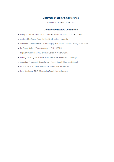## **Chairman of 1st ICAS Conference**

Muhammad Nur Afandi, S.Pd.,MT.

### **Conference Review Committee**

- Henry H Loupias, M.Sn (Chair Journal Consultant, Universitas Pasundan)
- Assistant Professor Yanki Hartijasti (Universitas Indonesia)
- Associate Professor Evan Lau (Managing Editor IJBS, Universiti Malaysia Sarawak)
- Professor Su Dinh Thanh (Managing Editor JABES)
- Nguyen Phuc Canh, Ph.D (Deputy Editor-in- Chief JABES)
- Nhung Thi Hong Vu, MScBA, Ph.D (Vietnamese-German University)
- Associate Professor Avinash Pawar (Rajeev Gandhi Business School)
- Dr. Ade Gafar Abdullah (Universitas Pendidikan Indonesia)
- · Iwan Kustiawan, Ph.D. (Universitas Pendidikan Indonesia)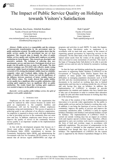

1st International Conference on Administration Science (ICAS 2019)

# The Impact of Public Service Quality on Holidays towards Visitors's Satisfaction

Erna Ruatiana, Ikeu Kania, Abdullah Ramdhani Faculty of Social and Political Sciences Universitas Garut Garut, Indonesia [erna.rustiana@gmail.com,](mailto:erna.rustiana@gmail.com) [ikeukania@fisip.uniga.ac.id,](mailto:ikeukania@fisip.uniga.ac.id) aramdhani@fisip.uniga.ac.id

*Abstract***—Public service is a responsibility and the existence of bureaucratic transformation by the government must be public satisfaction oriented. The public perception shows that the public services quality by the government has not yet been optimized. This research aims to identify the effect of public holiday services quality and working spirit employees on public satisfaction in Garut Regency. This research uses descriptive and associative methods. The technique of collecting data uses questionnaire surveys and interviews. Participants involved were people who felt public services as many as 385 people. The data analysis technique uses PLS-SEM with reflective model, testing convergent validity based on loading factor and average variance extracted (AVE), testing discriminant validity based on reliability composite values and Cronbach alpha, testing the predictive ability of models with Stone Geisser test and the significance of the influence between constructs of latent variables based on Total Effects values. The results showed that public holiday service quality has a significant effect on public satisfaction while working spirit employees have no significant effect on public satisfaction. The results found that working spirit employees were needed to improve in the public service process.** 

#### *Keywords—service quality; public holidays service; the spirit of employee work; public satisfaction*

#### I. INTRODUCTION

Employees are the main source of the organization that cannot be replaced by other sources because no matter how good an organization is, the complete facilities and infrastructure will not be beneficial without employees managing, using and maintaining it. The success of agencies in achieving goals is one reflection of an effective organization. An employee is required to always work with high enthusiasm so that in providing services to the community does not seem slow and lazy. In addition, employees must always strive to improve the quality of service to the community because service quality is an important variable in the implementation of public services.

In line with the development program that focuses on 3 (three) main pillars, namely the increase of the Human Development Index (HDI), commitment to increase the Community Satisfaction Index (IKM), and administering the Government with Fair No Exception (WTP) criteria, it is only natural that all devices region (SKPD/OPD) can align all Hedi Cupiadi\*

Faculty of Economic Universitas Garut Garut, Indonesia \*hedi.cupiadi@uniga.ac.id

programs and activities in each SKPD. To make this happen, Tarogong Kaler Sub-district seeks to implement it in accordance with its main task area, namely in the context of organizing general governance by improving services to the community. On the other hand, at the level of reality, there are indeed unmet needs from the wishes of the people that are often conveyed in some momentum of activities. This need is the hope of Tarogong Kaler Sub-district to be able to provide quality services and not only be limited by normative working hours.

So that the logic and thinking underlying the emergence of innovation in organizing Public Holidays (LAPHALI) in the Government of Tarogong Kaler District departs from the condition of many people who complain about having difficulties in managing population documents such as KTP and KK and also recommendations or legalization of urgent documents to be resolved on working days due to limited opportunities and time due to working outside the city of Garut and only having free time on holidays. In addition, the implementation of LAPHALI is intended to provide opportunities for students and students who have limited time to take care of documents in order to continue their education or apply for jobs and other needs because in working days they are in the learning process.

The aim of the creation of the LAPHALI implementation innovation is to provide wider opportunities for the public to obtain public services and not be limited to working days only. In addition, it can bring the functions of service closer to the community, improve the quality of services and improve the community satisfaction index. LAPHALI is held on regular holidays (Saturdays and Sundays) and national holidays except for holidays. The implementation of LAPHALI which is carried out outside working days has an impact on overtime work and requires special overtime wages. Therefore, officers appointed to carry out overtime work receive compensation in the form of food and overtime wages in accordance with applicable regulations. The provision of compensation in the form of wages is intended so that employee morale can be maintained even though they have to provide services on holidays. The implementation of LAPHALI for the current year is supported by the District Expenditure Budget in 2016,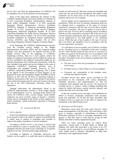but for 2017 and 2018 the implementation of LAPHALI will be included as one of the Kecamatan activity programs.

Some of the legal bases underlying the creation of this LAPHALI Implementation innovation include Law Number 24 of 2013 concerning Population Administration, Minister of Home Affairs Regulation Number 4 of 2010 concerning Integrated District Administrative Services Guidelines (PATENT), Republic of Indonesia Presidential Regulation Number 76 of 2013 concerning Public Service Complaint Management, Ministerial Regulation Number 30 of 2014 concerning Guidelines for Public Service Innovation, Minister of Home Affairs Decree Number 138-270 of 2010 concerning Technical Guidelines for Integrated District Administrative Services (PATEN), and Perbup Number 102 of 2014 concerning Delegation of Partial Authority to District Heads .

In the beginning, the LAPHALI Implementation activities used the overtime activity budget in the Budget Implementation Document (DPA) and the proposed budget changes were then proposed to be separate activities in the Budget Activity Plan. In the budgeting of LAPHALI Organizing activities, there are 2 (two) aspects, namely the budget for employee honorarium and the budget for goods and services. Included in the employee honorarium budget are for operator honorariums and overtime pay honorariums, while the ones included in the goods and services budget are the costs of supporting LAPHALI's organizing activities, such as socialization and pamphlet printing. However, in 2017, LAPHALI experienced problems in budgeting. This is based on the appeal of the Government of Garut Regency in the Regional Revenue and Expenditure Budget (RAPBD) of Garut Regency in 2017 that for all forms of operations relating to employee honorarium in this case is the operator's honorarium and overtime honorarium must be removed, because it has been put into in the ASN Performance Allowance (State Civil Apparatus).

Through observation, the phenomenon found in the LAPHALI implementation activities is about budget support for its implementation. Even so, Tarogong Kaler District still carries out LAPHALI with a system change, which initially employees are given overtime wages to become a voluntary system and are committed to the loyalty of their employees to realize community / public satisfaction, especially in Tarogong Kaler District.

#### II. LITERATURE REVIEW

#### *A. Service Quality*

In the Great Indonesian Language Dictionary, quality is the level of good or bad or the degree or degree of something that is widely used in relation to techniques and concepts to improve the quality of products or services produced.

According to Kotler service is any action or activity that can be offered by a party to another party, which is basically intangible and does not result in any ownership [1]. In general, high-level services will also produce high satisfaction.

According to Supranto in Chairudin, Setyowati, and Suharto, service quality is a result that must be achieved and carried out with action [2]. But these actions are intangible and easily lost, but can be felt and remembered. The impact is that consumers can be more active in the process of consuming products and services of a company.

Service quality can be interpreted as the level of customer satisfaction. While the level of customer satisfaction itself can be obtained from a comparison of the types of services expected by consumers with the type of service that is actually received by consumers. The type of quality of service that is good is the type of service that is satisfying and in accordance with the services expected by consumers. But if the service can exceed consumer expectations, then the type of service quality can be categorized as very high quality or very satisfying service. While the type of poor quality is the type of service that is far below the standard or not in accordance with the services expected by consumers.

As a sub-theory of service quality, one of which is excellent service. Excellent service is a translation of the term "excellent service" which literally means the best service or very good. It is called very good or the best because it is in accordance with the service standards that are valid or owned by service providers. The public sector service behavior agenda states that excellent service is:

- The best service from the government to customers or service users.
- Excellent service is there if there is a service standard.
- Customers are communities in the broadest sense, external and internal societies.

Excellent service also means service provided by the government to the community with various dimensions, standards, processes, and implementation so that the community feels satisfied with the service. The keyword in excellent service is "respect", which is adding something that cannot be valued with money, namely sincerity, integrity, and loyalty from the service provider itself.

In the end, excellent service can make a real contribution to efforts to increase community satisfaction, both privately, group and regionally. Of all that has been described, then excellent service is a good start in the effort to empower the community as the object being served.

#### *B. Motivation and Work Spirit*

Motivation comes from the Latin word "movere" which means encouragement or driving force. This motivation is only given to humans, especially to subordinates or followers. Motivation questions on how to encourage subordinate work passion so that they want to work hard by giving all their abilities and skills to realize organizational goals.

There are many meanings given by experts about motivation. Among them is Robert Heller in Manik and Sidharta who states that motivation is the desire to act [3]. Everyone can be motivated by several different strengths. At work, leaders need to influence subordinates to align their motivations with organizational needs.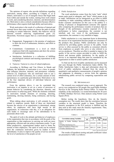The opinions of experts who provide definitions regarding motivation, among others, according to Colquitt, et. al in Joharis, motivation is a set of energetic forces that begin both from within and outside the worker, starting from work related to work, and considering direction, intensity, and determination [4]. Motivation is also a critical consideration because effective performance often requires both high ability and motivation.

Work motivation is the result of a collection of internal and external forces that cause workers to choose the path of acting according to certain behaviors. Ideally, this behavior will be directed towards achieving organizational goals [5]. Meanwhile, Newstrom argues that as a motivational indicator are:

- Engagement. Engagement is the promise of employees to show the level of enthusiasm, initiative, and effort to continue.
- Commitment. Commitment is a level at which employees bind with organizations and show the actions of organizational citizenship.
- Satisfaction. Satisfaction is a reflection of fulfilling psychological contracts and meeting expectations in the workplace.
- Turnover. Turnover is a loss of valued employees.

According to McShane and Van Glinow in Manik and Sidharta, the definition of motivation is as a force in people who influence direction, intensity, and persistence voluntary behavior [3]. Employees who are motivated want to use a certain level of effort (intensity), for a certain amount of time (persistence), to a particular goal (direction). Motivation is one of the four important drivers of individual behavior and performance.

From the opinions above, it can be concluded that motivation is an impulse to act on a series of processes of human behavior by considering the direction, intensity, and perseverance in achieving goals. While the elements contained in motivation include elements of arousing, directing, maintaining, showing intensity, being continuous, and having goals.

When talking about motivation, it will certainly be very related to employee morale. Both of these are interrelated because the success of an organization is determined, among others, by employees who have high morale in the organization. In connection with this, it is an obligation for each leader to encourage each of his subordinates to be passionate about work.

The spirit of work is the attitude and behavior of employees in the organization that runs in accordance with the goals of the organization so that employees in carrying out work are more appropriate, efficient and can achieve maximum results. To get better productivity, organizational leaders need to foster the morale of their employees. The spirit of work can be realized from the continuous motivation given by leaders to their subordinates. It aims to improve the quality of service and also the level of satisfaction of the people served.

#### *C. Public Satisfaction*

The word satisfaction comes from the Latin "satis" which means quite good or adequate, and "facto" which means to do or make. Satisfaction can be interpreted as an effort to fulfill something or make something sufficient. While according to Kotler customer satisfaction (in this case is the public) is a feeling of pleasure or disappointment someone who appears after comparing the performance (results) of products that are thought of the performance (results) expected [1]. If the performance is below expectations, the customer is not satisfied, and vice versa if the performance exceeds expectations, the customer is very satisfied or happy.

Public satisfaction is a very important factor in determining the success of an organization because people are consumers of the products they produce. Public satisfaction can only be achieved by providing quality services to the public. Good service is often assessed by the public as consumers directly from employees as people who serve or also referred to as service producers. Therefore an effort is needed to improve the quality of the service system provided in order to fulfill the desires and increase public satisfaction. So the quality of service is an important thing that must be considered by the organization in order to achieve public satisfaction.

To find out the level of public satisfaction can be measured and seen through the Public Satisfaction Index (IKM). The Public Satisfaction Index is data and information about the level of public satisfaction obtained from the results of quantitative and qualitative measurements of people's opinions and judgments in obtaining a service from the apparatus administering public services by comparing expectations and needs.

#### III. METHODOLOGY

The research was conducted using a survey approach. The survey was conducted on 385 people who used Public Holidays Services in the Tarogong Kaler District Office. To ensure the reliability of the instrument, it is tested beforehand for 30 users of Public Holidays Services. Data analysis using Partial Least Square (PLS).

Before testing the hypothesis, first, do the linearity assumption test. The results show that the correlation between variables in the structural model is linear. Therefore the linearity assumption in the PLS analysis is fulfilled and the data used in this study meet the linearity requirements. Thus, further analysis can be carried out.

TABLE I. LINEARITY TESTING

| <b>Correlation among Variables</b>                                    | <b>Linearity Testing</b> |         |       |               |
|-----------------------------------------------------------------------|--------------------------|---------|-------|---------------|
|                                                                       | R <sub>2</sub>           |         | Sig.  | <b>Result</b> |
| Quality of Public Holidays Services<br>(X1)                           | 0.858                    | 650.889 | 0.000 | Linear        |
| $\rightarrow$ Public Satisfaction (Y)                                 |                          |         |       |               |
| Spirit of Employee Work (X2)<br>$\rightarrow$ Public Satisfaction (Y) | 0.882                    | 809.115 | 0.000 | Linear        |

Source: Data Processed (2018)

The results of hypothesis testing and path coefficient values are presented in Table 2 as follows: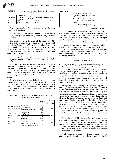

TABLE II. PATH COEFFICIENT OF DIRECT EFFECT AND HYPOTHESES **TESTING** 

| <b>Hypotheses</b> | Correlation<br>among<br><b>Variables</b> | Path<br>Coefficient | t-Statistic | t-Table | Result    |
|-------------------|------------------------------------------|---------------------|-------------|---------|-----------|
| H1                | 0.858                                    | 0.916               | 23.621      | . 65    | Sig       |
| H <sub>2</sub>    | 0.882                                    | 0.065               | 0.559       | . .65   | <b>TS</b> |

Source: Data Processed (2018)

Based on the results in Table 2, the research hypothesis can be explained as follows:

*H1. The Quality of Public Holidays Services has a significant effect on Public Satisfaction at Tarogong Kaler District.* 

The results of testing the effect of the quality of public services holidays on public satisfaction can be proven through the path coefficient value of 0.916 with the value of the critical point (t-statistic) is 23.621> 1.65. The results of hypothesis testing prove that the better the quality of public service holidays, the more public satisfaction increases at the Tarogong Kaler District Office.

#### *H2. The Spirit of Employee Work did not significantly influence Public Satisfaction in the Tarogong Kaler District.*

The results of testing the effect of the spirit of employee work on public satisfaction can be proven through the path coefficient value of 0.065 with a critical point value (t-statistic) is 0.559 <1.65. The results of hypothesis testing prove that good the spirit of employee work is not followed by an increase in public satisfaction at the Tarogong Kaler District Office.

The aim of assessing the correlation between the estimated loading value and mean value is to identify and determine the importance of each indicator in reflecting variables or latent constructs. The estimated loading value and the mean value of the indicators of each variable in this study are presented in Table 3 below:

TABLE III. ESTIMATED VALUE EXPLANATION LOADING RELATIONS WITH MEAN

|                                                 |                                 | Loading        | Mean |      |
|-------------------------------------------------|---------------------------------|----------------|------|------|
| <b>Variables</b>                                | <b>Indicators</b>               | <b>Factors</b> | Ind. | Var. |
| Quality of Public<br>Service Holidays<br>(X1)   | Accountability                  | 0.836          |      | 3.95 |
|                                                 | Responsiveness                  | 0.899          |      |      |
|                                                 | Orientation to services         | 0.857          |      |      |
|                                                 | Efficiency                      | 0.842          |      |      |
| of<br>Spirit<br>The<br>Work<br>Employee<br>(X2) | Engagement                      | 0.817          |      | 3.22 |
|                                                 | Commitment                      | 0.895          |      |      |
|                                                 | Satisfaction                    | 0.748          |      |      |
|                                                 | Turnover                        | 0.757          |      |      |
| Public Satisfaction<br>(Y)                      | Public Appreciates (respect)    | 0.937          |      | 4.23 |
|                                                 | to officers                     |                |      |      |
|                                                 | feel satisfied<br>People<br>and | 0.795          |      |      |
|                                                 | make them follow the rules      |                |      |      |

Table 3. Cont.

| People feel satisfied and<br>make them proud of the $0.848$<br>officer's work |  |
|-------------------------------------------------------------------------------|--|
| People feel satisfied and<br>make them increase their 0.926<br>initiative     |  |
| People feel satisfied and $0.762$<br>make them avoid conflict                 |  |

Source: Data Processed (2018)

Table 3 shows that the strongest indicator that reflects the public service quality variable of the holiday is responsiveness with a loading factor value of 0.899 and in practice runs well Then, based on the value of loading factors, the strongest indicator of employee morale is the commitment of employees at 0.895 whose practice is considered quite good

Respondents' assessment of the variable public satisfaction indicates that the majority of respondents consider that public appreciation (respect) to employees is the strongest indicator characterized by a high value of loading factor of 0.937. This reflects public satisfaction with the commitment of employees in carrying out services.

#### IV. RESULT AND DISCUSSION

#### *A. The Effect of the Quality of Public Service Holidays on Public Satisfaction at Tarogong Kaler District*

The results showed that the quality of public service holidays directly gives a significant effect on public satisfaction at Tarogong Kaler District. This is quite reasonable because the quality of public service holidays is perceived as good in implementation particularly in the area of accountability, responsiveness, orientation to service and efficiency indicators.

Descriptively, accountability has not been optimal in reflecting the quality of public services. However, in reality, it is considered as the best in its implementation. Responsiveness is considered very strong in reflecting the quality of public services and is considered good in its implementation. Then, an orientation toward service is also viewed as a high value in reflecting the quality of public services and it has been well implemented. Efficiency has high value in reflecting the quality of public services, however, it is still not optimal in practice. Based on these findings, the researcher can suggest that in order to optimize the efficiency indicator the Tarogong Kaler District office needs to provide a quick respond public services at a reasonable cost, the straightforward bureaucracy, the clear completion time, and also to make sure a free illegal levies service.

The implications of this public services quality can improve public satisfaction which is reflected through some indicators namely; people appreciate (respect) to officers, people feel satisfied and make them follow the rules, people feel satisfied and make them proud of the officers work, people feel satisfied and make them increase their initiative, people feel satisfied and make them avoid conflict.

People appreciate (respect) to officers is seen strong in reflecting public satisfaction and is also the best in its